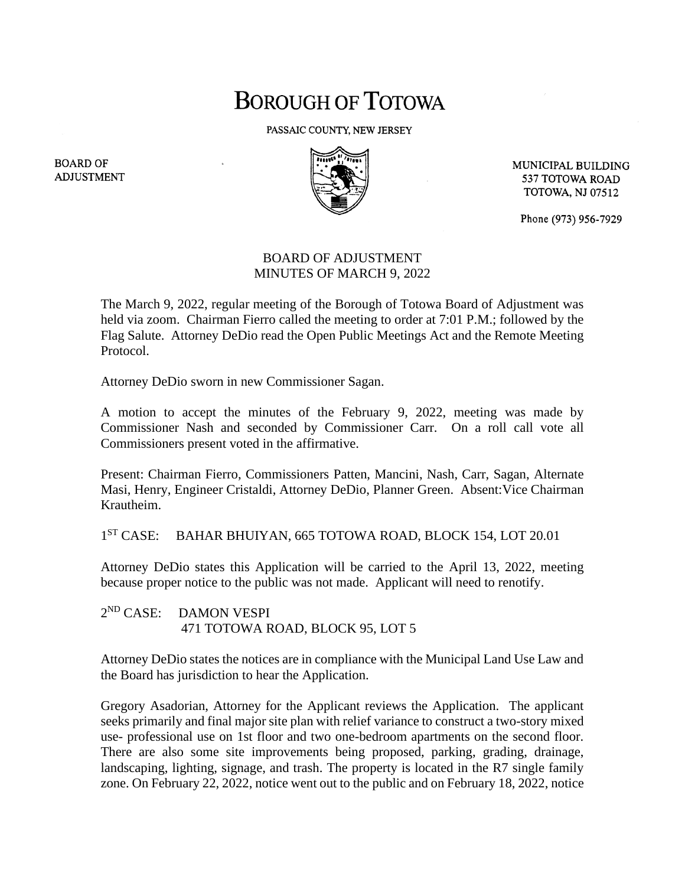## **BOROUGH OF TOTOWA**

PASSAIC COUNTY, NEW JERSEY



MUNICIPAL BUILDING 537 TOTOWA ROAD **TOTOWA, NJ 07512** 

Phone (973) 956-7929

## BOARD OF ADJUSTMENT MINUTES OF MARCH 9, 2022

The March 9, 2022, regular meeting of the Borough of Totowa Board of Adjustment was held via zoom. Chairman Fierro called the meeting to order at 7:01 P.M.; followed by the Flag Salute. Attorney DeDio read the Open Public Meetings Act and the Remote Meeting Protocol.

Attorney DeDio sworn in new Commissioner Sagan.

A motion to accept the minutes of the February 9, 2022, meeting was made by Commissioner Nash and seconded by Commissioner Carr. On a roll call vote all Commissioners present voted in the affirmative.

Present: Chairman Fierro, Commissioners Patten, Mancini, Nash, Carr, Sagan, Alternate Masi, Henry, Engineer Cristaldi, Attorney DeDio, Planner Green. Absent:Vice Chairman Krautheim.

1<sup>ST</sup> CASE: BAHAR BHUIYAN, 665 TOTOWA ROAD, BLOCK 154, LOT 20.01

Attorney DeDio states this Application will be carried to the April 13, 2022, meeting because proper notice to the public was not made. Applicant will need to renotify.

 $2^{ND}$  CASE: DAMON VESPI 471 TOTOWA ROAD, BLOCK 95, LOT 5

Attorney DeDio states the notices are in compliance with the Municipal Land Use Law and the Board has jurisdiction to hear the Application.

Gregory Asadorian, Attorney for the Applicant reviews the Application. The applicant seeks primarily and final major site plan with relief variance to construct a two-story mixed use- professional use on 1st floor and two one-bedroom apartments on the second floor. There are also some site improvements being proposed, parking, grading, drainage, landscaping, lighting, signage, and trash. The property is located in the R7 single family zone. On February 22, 2022, notice went out to the public and on February 18, 2022, notice

**BOARD OF ADJUSTMENT**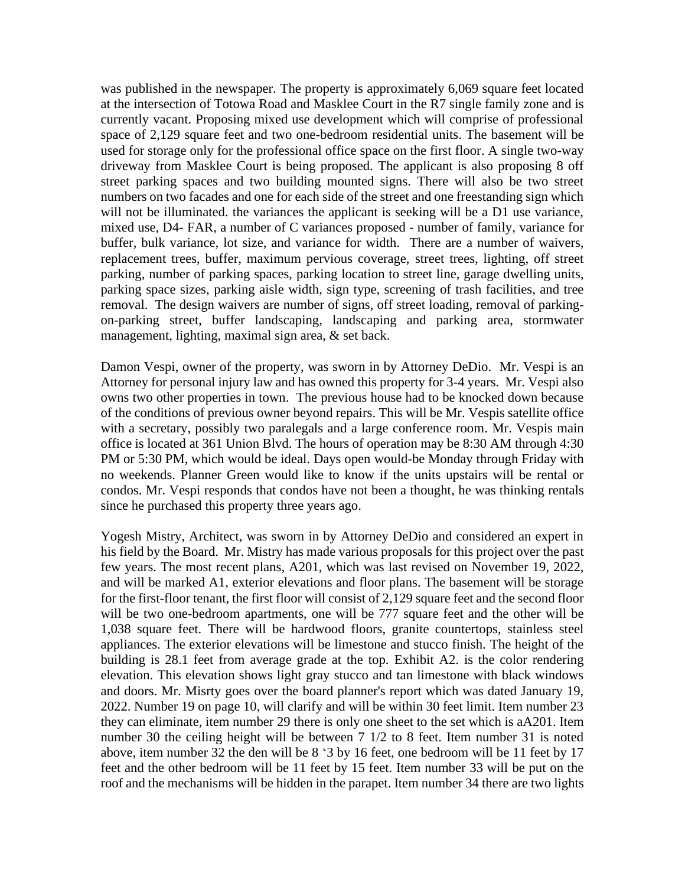was published in the newspaper. The property is approximately 6,069 square feet located at the intersection of Totowa Road and Masklee Court in the R7 single family zone and is currently vacant. Proposing mixed use development which will comprise of professional space of 2,129 square feet and two one-bedroom residential units. The basement will be used for storage only for the professional office space on the first floor. A single two-way driveway from Masklee Court is being proposed. The applicant is also proposing 8 off street parking spaces and two building mounted signs. There will also be two street numbers on two facades and one for each side of the street and one freestanding sign which will not be illuminated, the variances the applicant is seeking will be a D1 use variance, mixed use, D4- FAR, a number of C variances proposed - number of family, variance for buffer, bulk variance, lot size, and variance for width. There are a number of waivers, replacement trees, buffer, maximum pervious coverage, street trees, lighting, off street parking, number of parking spaces, parking location to street line, garage dwelling units, parking space sizes, parking aisle width, sign type, screening of trash facilities, and tree removal. The design waivers are number of signs, off street loading, removal of parkingon-parking street, buffer landscaping, landscaping and parking area, stormwater management, lighting, maximal sign area, & set back.

Damon Vespi, owner of the property, was sworn in by Attorney DeDio. Mr. Vespi is an Attorney for personal injury law and has owned this property for 3-4 years. Mr. Vespi also owns two other properties in town. The previous house had to be knocked down because of the conditions of previous owner beyond repairs. This will be Mr. Vespis satellite office with a secretary, possibly two paralegals and a large conference room. Mr. Vespis main office is located at 361 Union Blvd. The hours of operation may be 8:30 AM through 4:30 PM or 5:30 PM, which would be ideal. Days open would-be Monday through Friday with no weekends. Planner Green would like to know if the units upstairs will be rental or condos. Mr. Vespi responds that condos have not been a thought, he was thinking rentals since he purchased this property three years ago.

Yogesh Mistry, Architect, was sworn in by Attorney DeDio and considered an expert in his field by the Board. Mr. Mistry has made various proposals for this project over the past few years. The most recent plans, A201, which was last revised on November 19, 2022, and will be marked A1, exterior elevations and floor plans. The basement will be storage for the first-floor tenant, the first floor will consist of 2,129 square feet and the second floor will be two one-bedroom apartments, one will be 777 square feet and the other will be 1,038 square feet. There will be hardwood floors, granite countertops, stainless steel appliances. The exterior elevations will be limestone and stucco finish. The height of the building is 28.1 feet from average grade at the top. Exhibit A2. is the color rendering elevation. This elevation shows light gray stucco and tan limestone with black windows and doors. Mr. Misrty goes over the board planner's report which was dated January 19, 2022. Number 19 on page 10, will clarify and will be within 30 feet limit. Item number 23 they can eliminate, item number 29 there is only one sheet to the set which is aA201. Item number 30 the ceiling height will be between 7 1/2 to 8 feet. Item number 31 is noted above, item number 32 the den will be 8 '3 by 16 feet, one bedroom will be 11 feet by 17 feet and the other bedroom will be 11 feet by 15 feet. Item number 33 will be put on the roof and the mechanisms will be hidden in the parapet. Item number 34 there are two lights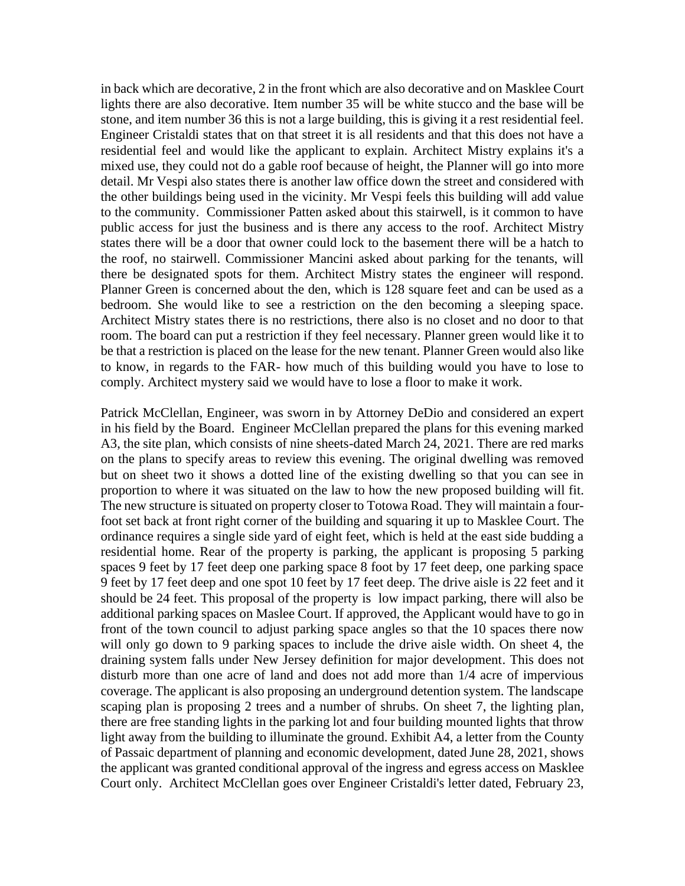in back which are decorative, 2 in the front which are also decorative and on Masklee Court lights there are also decorative. Item number 35 will be white stucco and the base will be stone, and item number 36 this is not a large building, this is giving it a rest residential feel. Engineer Cristaldi states that on that street it is all residents and that this does not have a residential feel and would like the applicant to explain. Architect Mistry explains it's a mixed use, they could not do a gable roof because of height, the Planner will go into more detail. Mr Vespi also states there is another law office down the street and considered with the other buildings being used in the vicinity. Mr Vespi feels this building will add value to the community. Commissioner Patten asked about this stairwell, is it common to have public access for just the business and is there any access to the roof. Architect Mistry states there will be a door that owner could lock to the basement there will be a hatch to the roof, no stairwell. Commissioner Mancini asked about parking for the tenants, will there be designated spots for them. Architect Mistry states the engineer will respond. Planner Green is concerned about the den, which is 128 square feet and can be used as a bedroom. She would like to see a restriction on the den becoming a sleeping space. Architect Mistry states there is no restrictions, there also is no closet and no door to that room. The board can put a restriction if they feel necessary. Planner green would like it to be that a restriction is placed on the lease for the new tenant. Planner Green would also like to know, in regards to the FAR- how much of this building would you have to lose to comply. Architect mystery said we would have to lose a floor to make it work.

Patrick McClellan, Engineer, was sworn in by Attorney DeDio and considered an expert in his field by the Board. Engineer McClellan prepared the plans for this evening marked A3, the site plan, which consists of nine sheets-dated March 24, 2021. There are red marks on the plans to specify areas to review this evening. The original dwelling was removed but on sheet two it shows a dotted line of the existing dwelling so that you can see in proportion to where it was situated on the law to how the new proposed building will fit. The new structure is situated on property closer to Totowa Road. They will maintain a fourfoot set back at front right corner of the building and squaring it up to Masklee Court. The ordinance requires a single side yard of eight feet, which is held at the east side budding a residential home. Rear of the property is parking, the applicant is proposing 5 parking spaces 9 feet by 17 feet deep one parking space 8 foot by 17 feet deep, one parking space 9 feet by 17 feet deep and one spot 10 feet by 17 feet deep. The drive aisle is 22 feet and it should be 24 feet. This proposal of the property is low impact parking, there will also be additional parking spaces on Maslee Court. If approved, the Applicant would have to go in front of the town council to adjust parking space angles so that the 10 spaces there now will only go down to 9 parking spaces to include the drive aisle width. On sheet 4, the draining system falls under New Jersey definition for major development. This does not disturb more than one acre of land and does not add more than 1/4 acre of impervious coverage. The applicant is also proposing an underground detention system. The landscape scaping plan is proposing 2 trees and a number of shrubs. On sheet 7, the lighting plan, there are free standing lights in the parking lot and four building mounted lights that throw light away from the building to illuminate the ground. Exhibit A4, a letter from the County of Passaic department of planning and economic development, dated June 28, 2021, shows the applicant was granted conditional approval of the ingress and egress access on Masklee Court only. Architect McClellan goes over Engineer Cristaldi's letter dated, February 23,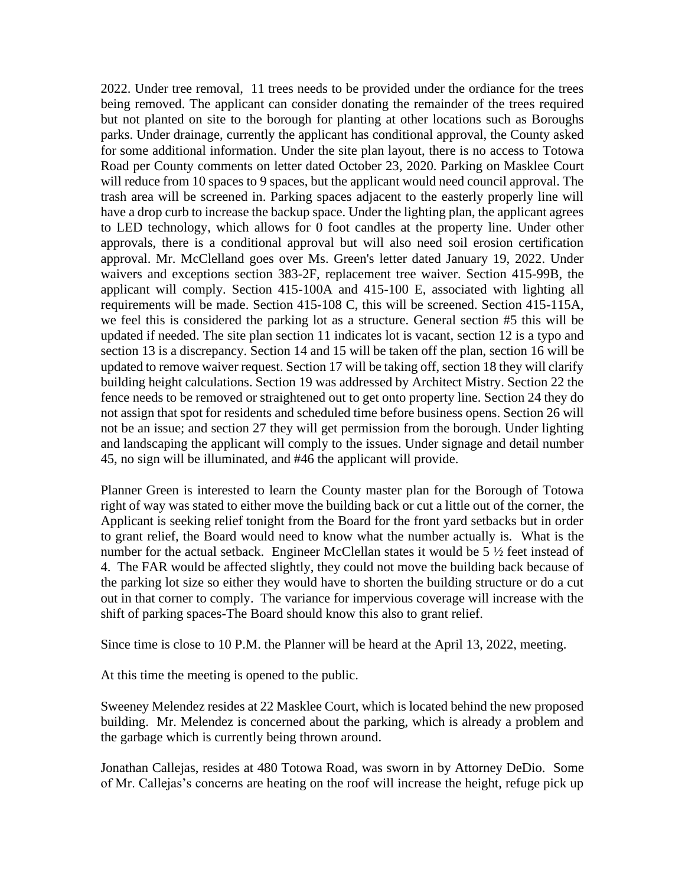2022. Under tree removal, 11 trees needs to be provided under the ordiance for the trees being removed. The applicant can consider donating the remainder of the trees required but not planted on site to the borough for planting at other locations such as Boroughs parks. Under drainage, currently the applicant has conditional approval, the County asked for some additional information. Under the site plan layout, there is no access to Totowa Road per County comments on letter dated October 23, 2020. Parking on Masklee Court will reduce from 10 spaces to 9 spaces, but the applicant would need council approval. The trash area will be screened in. Parking spaces adjacent to the easterly properly line will have a drop curb to increase the backup space. Under the lighting plan, the applicant agrees to LED technology, which allows for 0 foot candles at the property line. Under other approvals, there is a conditional approval but will also need soil erosion certification approval. Mr. McClelland goes over Ms. Green's letter dated January 19, 2022. Under waivers and exceptions section 383-2F, replacement tree waiver. Section 415-99B, the applicant will comply. Section 415-100A and 415-100 E, associated with lighting all requirements will be made. Section 415-108 C, this will be screened. Section 415-115A, we feel this is considered the parking lot as a structure. General section #5 this will be updated if needed. The site plan section 11 indicates lot is vacant, section 12 is a typo and section 13 is a discrepancy. Section 14 and 15 will be taken off the plan, section 16 will be updated to remove waiver request. Section 17 will be taking off, section 18 they will clarify building height calculations. Section 19 was addressed by Architect Mistry. Section 22 the fence needs to be removed or straightened out to get onto property line. Section 24 they do not assign that spot for residents and scheduled time before business opens. Section 26 will not be an issue; and section 27 they will get permission from the borough. Under lighting and landscaping the applicant will comply to the issues. Under signage and detail number 45, no sign will be illuminated, and #46 the applicant will provide.

Planner Green is interested to learn the County master plan for the Borough of Totowa right of way was stated to either move the building back or cut a little out of the corner, the Applicant is seeking relief tonight from the Board for the front yard setbacks but in order to grant relief, the Board would need to know what the number actually is. What is the number for the actual setback. Engineer McClellan states it would be 5  $\frac{1}{2}$  feet instead of 4. The FAR would be affected slightly, they could not move the building back because of the parking lot size so either they would have to shorten the building structure or do a cut out in that corner to comply. The variance for impervious coverage will increase with the shift of parking spaces-The Board should know this also to grant relief.

Since time is close to 10 P.M. the Planner will be heard at the April 13, 2022, meeting.

At this time the meeting is opened to the public.

Sweeney Melendez resides at 22 Masklee Court, which is located behind the new proposed building. Mr. Melendez is concerned about the parking, which is already a problem and the garbage which is currently being thrown around.

Jonathan Callejas, resides at 480 Totowa Road, was sworn in by Attorney DeDio. Some of Mr. Callejas's concerns are heating on the roof will increase the height, refuge pick up